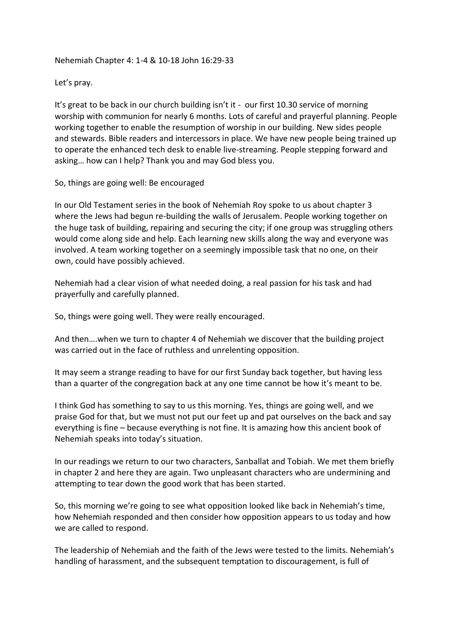## Nehemiah Chapter 4: 1-4 & 10-18 John 16:29-33

Let's pray.

It's great to be back in our church building isn't it - our first 10.30 service of morning worship with communion for nearly 6 months. Lots of careful and prayerful planning. People working together to enable the resumption of worship in our building. New sides people and stewards. Bible readers and intercessors in place. We have new people being trained up to operate the enhanced tech desk to enable live-streaming. People stepping forward and asking… how can I help? Thank you and may God bless you.

So, things are going well: Be encouraged

In our Old Testament series in the book of Nehemiah Roy spoke to us about chapter 3 where the Jews had begun re-building the walls of Jerusalem. People working together on the huge task of building, repairing and securing the city; if one group was struggling others would come along side and help. Each learning new skills along the way and everyone was involved. A team working together on a seemingly impossible task that no one, on their own, could have possibly achieved.

Nehemiah had a clear vision of what needed doing, a real passion for his task and had prayerfully and carefully planned.

So, things were going well. They were really encouraged.

And then….when we turn to chapter 4 of Nehemiah we discover that the building project was carried out in the face of ruthless and unrelenting opposition.

It may seem a strange reading to have for our first Sunday back together, but having less than a quarter of the congregation back at any one time cannot be how it's meant to be.

I think God has something to say to us this morning. Yes, things are going well, and we praise God for that, but we must not put our feet up and pat ourselves on the back and say everything is fine – because everything is not fine. It is amazing how this ancient book of Nehemiah speaks into today's situation.

In our readings we return to our two characters, Sanballat and Tobiah. We met them briefly in chapter 2 and here they are again. Two unpleasant characters who are undermining and attempting to tear down the good work that has been started.

So, this morning we're going to see what opposition looked like back in Nehemiah's time, how Nehemiah responded and then consider how opposition appears to us today and how we are called to respond.

The leadership of Nehemiah and the faith of the Jews were tested to the limits. Nehemiah's handling of harassment, and the subsequent temptation to discouragement, is full of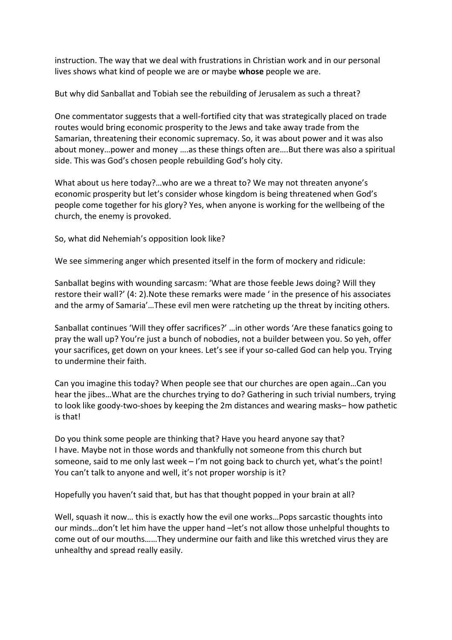instruction. The way that we deal with frustrations in Christian work and in our personal lives shows what kind of people we are or maybe **whose** people we are.

But why did Sanballat and Tobiah see the rebuilding of Jerusalem as such a threat?

One commentator suggests that a well-fortified city that was strategically placed on trade routes would bring economic prosperity to the Jews and take away trade from the Samarian, threatening their economic supremacy. So, it was about power and it was also about money…power and money ….as these things often are….But there was also a spiritual side. This was God's chosen people rebuilding God's holy city.

What about us here today?…who are we a threat to? We may not threaten anyone's economic prosperity but let's consider whose kingdom is being threatened when God's people come together for his glory? Yes, when anyone is working for the wellbeing of the church, the enemy is provoked.

So, what did Nehemiah's opposition look like?

We see simmering anger which presented itself in the form of mockery and ridicule:

Sanballat begins with wounding sarcasm: 'What are those feeble Jews doing? Will they restore their wall?' (4: 2).Note these remarks were made ' in the presence of his associates and the army of Samaria'…These evil men were ratcheting up the threat by inciting others.

Sanballat continues 'Will they offer sacrifices?' …in other words 'Are these fanatics going to pray the wall up? You're just a bunch of nobodies, not a builder between you. So yeh, offer your sacrifices, get down on your knees. Let's see if your so-called God can help you. Trying to undermine their faith.

Can you imagine this today? When people see that our churches are open again…Can you hear the jibes…What are the churches trying to do? Gathering in such trivial numbers, trying to look like goody-two-shoes by keeping the 2m distances and wearing masks– how pathetic is that!

Do you think some people are thinking that? Have you heard anyone say that? I have. Maybe not in those words and thankfully not someone from this church but someone, said to me only last week – I'm not going back to church yet, what's the point! You can't talk to anyone and well, it's not proper worship is it?

Hopefully you haven't said that, but has that thought popped in your brain at all?

Well, squash it now… this is exactly how the evil one works…Pops sarcastic thoughts into our minds…don't let him have the upper hand –let's not allow those unhelpful thoughts to come out of our mouths……They undermine our faith and like this wretched virus they are unhealthy and spread really easily.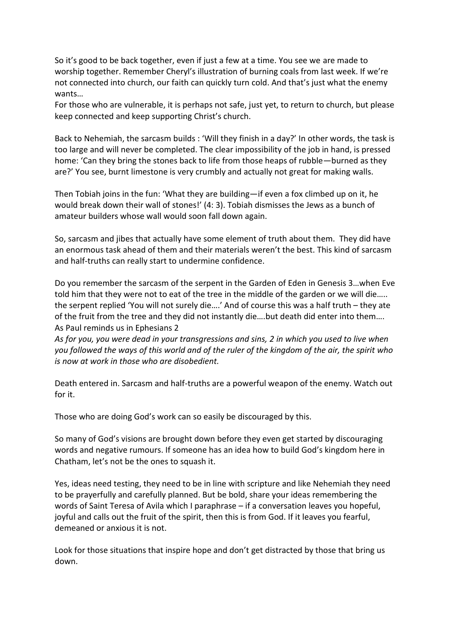So it's good to be back together, even if just a few at a time. You see we are made to worship together. Remember Cheryl's illustration of burning coals from last week. If we're not connected into church, our faith can quickly turn cold. And that's just what the enemy wants…

For those who are vulnerable, it is perhaps not safe, just yet, to return to church, but please keep connected and keep supporting Christ's church.

Back to Nehemiah, the sarcasm builds : 'Will they finish in a day?' In other words, the task is too large and will never be completed. The clear impossibility of the job in hand, is pressed home: 'Can they bring the stones back to life from those heaps of rubble—burned as they are?' You see, burnt limestone is very crumbly and actually not great for making walls.

Then Tobiah joins in the fun: 'What they are building—if even a fox climbed up on it, he would break down their wall of stones!' (4: 3). Tobiah dismisses the Jews as a bunch of amateur builders whose wall would soon fall down again.

So, sarcasm and jibes that actually have some element of truth about them. They did have an enormous task ahead of them and their materials weren't the best. This kind of sarcasm and half-truths can really start to undermine confidence.

Do you remember the sarcasm of the serpent in the Garden of Eden in Genesis 3…when Eve told him that they were not to eat of the tree in the middle of the garden or we will die….. the serpent replied 'You will not surely die….' And of course this was a half truth – they ate of the fruit from the tree and they did not instantly die….but death did enter into them…. As Paul reminds us in Ephesians 2

*As for you, you were dead in your transgressions and sins, 2 in which you used to live when you followed the ways of this world and of the ruler of the kingdom of the air, the spirit who is now at work in those who are disobedient.*

Death entered in. Sarcasm and half-truths are a powerful weapon of the enemy. Watch out for it.

Those who are doing God's work can so easily be discouraged by this.

So many of God's visions are brought down before they even get started by discouraging words and negative rumours. If someone has an idea how to build God's kingdom here in Chatham, let's not be the ones to squash it.

Yes, ideas need testing, they need to be in line with scripture and like Nehemiah they need to be prayerfully and carefully planned. But be bold, share your ideas remembering the words of Saint Teresa of Avila which I paraphrase – if a conversation leaves you hopeful, joyful and calls out the fruit of the spirit, then this is from God. If it leaves you fearful, demeaned or anxious it is not.

Look for those situations that inspire hope and don't get distracted by those that bring us down.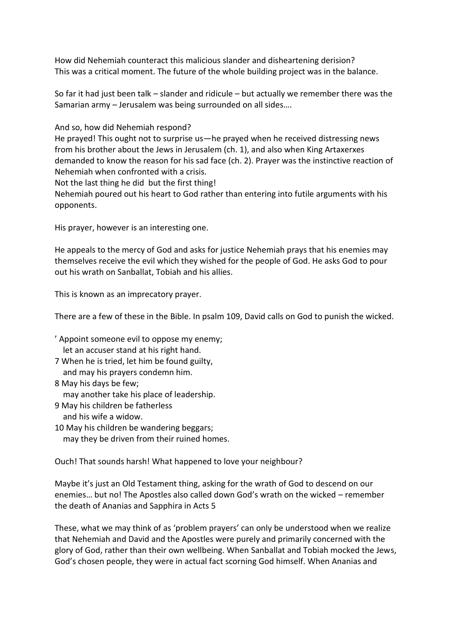How did Nehemiah counteract this malicious slander and disheartening derision? This was a critical moment. The future of the whole building project was in the balance.

So far it had just been talk – slander and ridicule – but actually we remember there was the Samarian army – Jerusalem was being surrounded on all sides….

And so, how did Nehemiah respond?

He prayed! This ought not to surprise us—he prayed when he received distressing news from his brother about the Jews in Jerusalem (ch. 1), and also when King Artaxerxes demanded to know the reason for his sad face (ch. 2). Prayer was the instinctive reaction of Nehemiah when confronted with a crisis.

Not the last thing he did but the first thing!

Nehemiah poured out his heart to God rather than entering into futile arguments with his opponents.

His prayer, however is an interesting one.

He appeals to the mercy of God and asks for justice Nehemiah prays that his enemies may themselves receive the evil which they wished for the people of God. He asks God to pour out his wrath on Sanballat, Tobiah and his allies.

This is known as an imprecatory prayer.

There are a few of these in the Bible. In psalm 109, David calls on God to punish the wicked.

- ' Appoint someone evil to oppose my enemy; let an accuser stand at his right hand.
- 7 When he is tried, let him be found guilty, and may his prayers condemn him.
- 8 May his days be few; may another take his place of leadership.
- 9 May his children be fatherless and his wife a widow.
- 10 May his children be wandering beggars; may they be driven from their ruined homes.

Ouch! That sounds harsh! What happened to love your neighbour?

Maybe it's just an Old Testament thing, asking for the wrath of God to descend on our enemies… but no! The Apostles also called down God's wrath on the wicked – remember the death of Ananias and Sapphira in Acts 5

These, what we may think of as 'problem prayers' can only be understood when we realize that Nehemiah and David and the Apostles were purely and primarily concerned with the glory of God, rather than their own wellbeing. When Sanballat and Tobiah mocked the Jews, God's chosen people, they were in actual fact scorning God himself. When Ananias and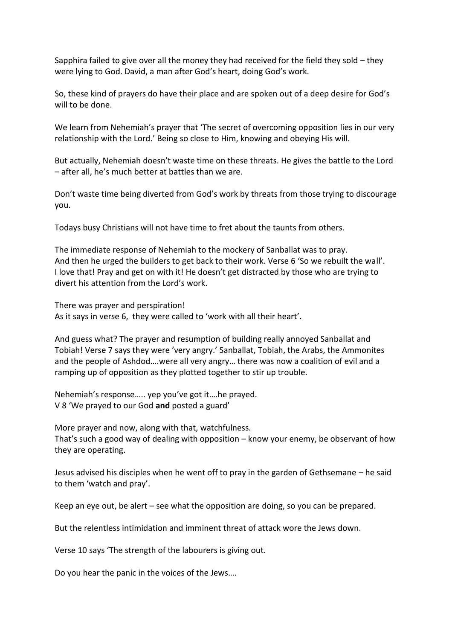Sapphira failed to give over all the money they had received for the field they sold – they were lying to God. David, a man after God's heart, doing God's work.

So, these kind of prayers do have their place and are spoken out of a deep desire for God's will to be done.

We learn from Nehemiah's prayer that 'The secret of overcoming opposition lies in our very relationship with the Lord.' Being so close to Him, knowing and obeying His will.

But actually, Nehemiah doesn't waste time on these threats. He gives the battle to the Lord – after all, he's much better at battles than we are.

Don't waste time being diverted from God's work by threats from those trying to discourage you.

Todays busy Christians will not have time to fret about the taunts from others.

The immediate response of Nehemiah to the mockery of Sanballat was to pray. And then he urged the builders to get back to their work. Verse 6 'So we rebuilt the wall'. I love that! Pray and get on with it! He doesn't get distracted by those who are trying to divert his attention from the Lord's work.

There was prayer and perspiration! As it says in verse 6, they were called to 'work with all their heart'.

And guess what? The prayer and resumption of building really annoyed Sanballat and Tobiah! Verse 7 says they were 'very angry.' Sanballat, Tobiah, the Arabs, the Ammonites and the people of Ashdod….were all very angry… there was now a coalition of evil and a ramping up of opposition as they plotted together to stir up trouble.

Nehemiah's response….. yep you've got it….he prayed. V 8 'We prayed to our God **and** posted a guard'

More prayer and now, along with that, watchfulness. That's such a good way of dealing with opposition – know your enemy, be observant of how they are operating.

Jesus advised his disciples when he went off to pray in the garden of Gethsemane – he said to them 'watch and pray'.

Keep an eye out, be alert – see what the opposition are doing, so you can be prepared.

But the relentless intimidation and imminent threat of attack wore the Jews down.

Verse 10 says 'The strength of the labourers is giving out.

Do you hear the panic in the voices of the Jews….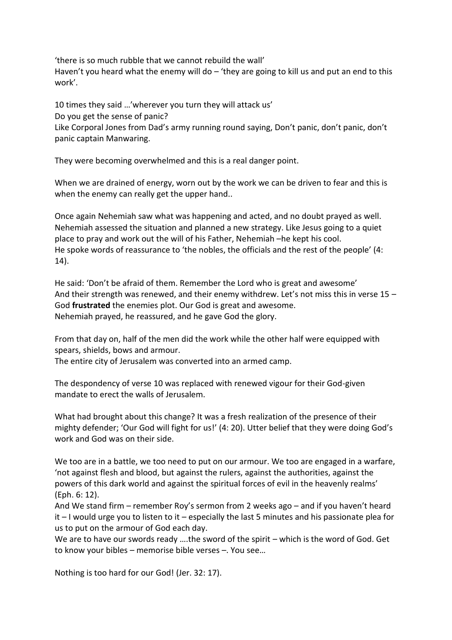'there is so much rubble that we cannot rebuild the wall'

Haven't you heard what the enemy will do  $-$  'they are going to kill us and put an end to this work'.

10 times they said …'wherever you turn they will attack us' Do you get the sense of panic? Like Corporal Jones from Dad's army running round saying, Don't panic, don't panic, don't panic captain Manwaring.

They were becoming overwhelmed and this is a real danger point.

When we are drained of energy, worn out by the work we can be driven to fear and this is when the enemy can really get the upper hand..

Once again Nehemiah saw what was happening and acted, and no doubt prayed as well. Nehemiah assessed the situation and planned a new strategy. Like Jesus going to a quiet place to pray and work out the will of his Father, Nehemiah –he kept his cool. He spoke words of reassurance to 'the nobles, the officials and the rest of the people' (4: 14).

He said: 'Don't be afraid of them. Remember the Lord who is great and awesome' And their strength was renewed, and their enemy withdrew. Let's not miss this in verse  $15 -$ God **frustrated** the enemies plot. Our God is great and awesome. Nehemiah prayed, he reassured, and he gave God the glory.

From that day on, half of the men did the work while the other half were equipped with spears, shields, bows and armour.

The entire city of Jerusalem was converted into an armed camp.

The despondency of verse 10 was replaced with renewed vigour for their God-given mandate to erect the walls of Jerusalem.

What had brought about this change? It was a fresh realization of the presence of their mighty defender; 'Our God will fight for us!' (4: 20). Utter belief that they were doing God's work and God was on their side.

We too are in a battle, we too need to put on our armour. We too are engaged in a warfare, 'not against flesh and blood, but against the rulers, against the authorities, against the powers of this dark world and against the spiritual forces of evil in the heavenly realms' (Eph. 6: 12).

And We stand firm – remember Roy's sermon from 2 weeks ago – and if you haven't heard it – I would urge you to listen to it – especially the last 5 minutes and his passionate plea for us to put on the armour of God each day.

We are to have our swords ready ….the sword of the spirit – which is the word of God. Get to know your bibles – memorise bible verses –. You see…

Nothing is too hard for our God! (Jer. 32: 17).